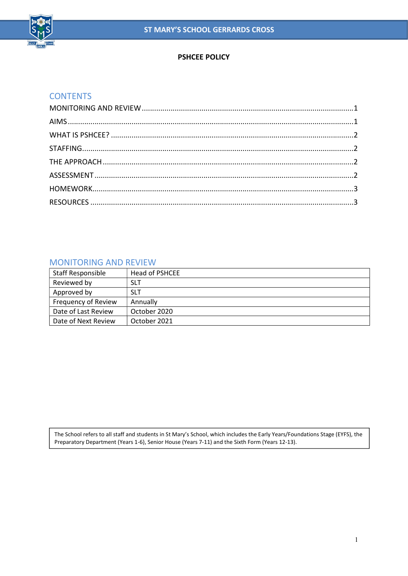

## PSHCEE POLICY

## **CONTENTS**

### MONITORING AND REVIEW

| <b>Staff Responsible</b>   | Head of PSHCEE |
|----------------------------|----------------|
| Reviewed by                | <b>SLT</b>     |
| Approved by                | <b>SLT</b>     |
| <b>Frequency of Review</b> | Annually       |
| Date of Last Review        | October 2020   |
| Date of Next Review        | October 2021   |

The School refers to all staff and students in St Mary's School, which includes the Early Years/Foundations Stage (EYFS), the Preparatory Department (Years 1-6), Senior House (Years 7-11) and the Sixth Form (Years 12-13).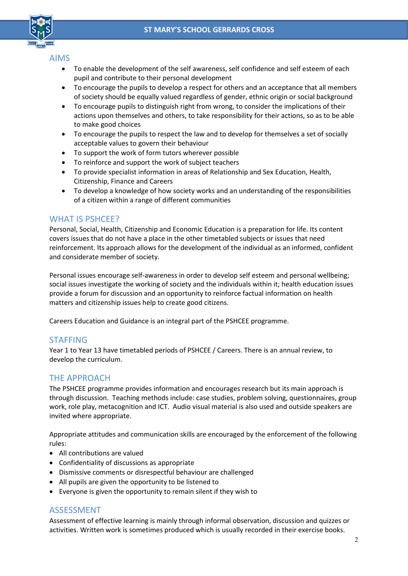

## AIMS

- To enable the development of the self awareness, self confidence and self esteem of each pupil and contribute to their personal development
- To encourage the pupils to develop a respect for others and an acceptance that all members of society should be equally valued regardless of gender, ethnic origin or social background
- To encourage pupils to distinguish right from wrong, to consider the implications of their actions upon themselves and others, to take responsibility for their actions, so as to be able to make good choices
- To encourage the pupils to respect the law and to develop for themselves a set of socially acceptable values to govern their behaviour
- To support the work of form tutors wherever possible
- To reinforce and support the work of subject teachers
- To provide specialist information in areas of Relationship and Sex Education, Health, Citizenship, Finance and Careers
- To develop a knowledge of how society works and an understanding of the responsibilities of a citizen within a range of different communities

### WHAT IS PSHCFF?

Personal, Social, Health, Citizenship and Economic Education is a preparation for life. Its content covers issues that do not have a place in the other timetabled subjects or issues that need reinforcement. Its approach allows for the development of the individual as an informed, confident and considerate member of society.

Personal issues encourage self-awareness in order to develop self esteem and personal wellbeing; social issues investigate the working of society and the individuals within it; health education issues provide a forum for discussion and an opportunity to reinforce factual information on health matters and citizenship issues help to create good citizens.

Careers Education and Guidance is an integral part of the PSHCEE programme.

# STAFFING

Year 1 to Year 13 have timetabled periods of PSHCEE / Careers. There is an annual review, to develop the curriculum.

# THE APPROACH

The PSHCEE programme provides information and encourages research but its main approach is through discussion. Teaching methods include: case studies, problem solving, questionnaires, group work, role play, metacognition and ICT. Audio visual material is also used and outside speakers are invited where appropriate.

Appropriate attitudes and communication skills are encouraged by the enforcement of the following rules:

- All contributions are valued
- Confidentiality of discussions as appropriate
- Dismissive comments or disrespectful behaviour are challenged
- All pupils are given the opportunity to be listened to
- Everyone is given the opportunity to remain silent if they wish to

# ASSESSMENT

Assessment of effective learning is mainly through informal observation, discussion and quizzes or activities. Written work is sometimes produced which is usually recorded in their exercise books.